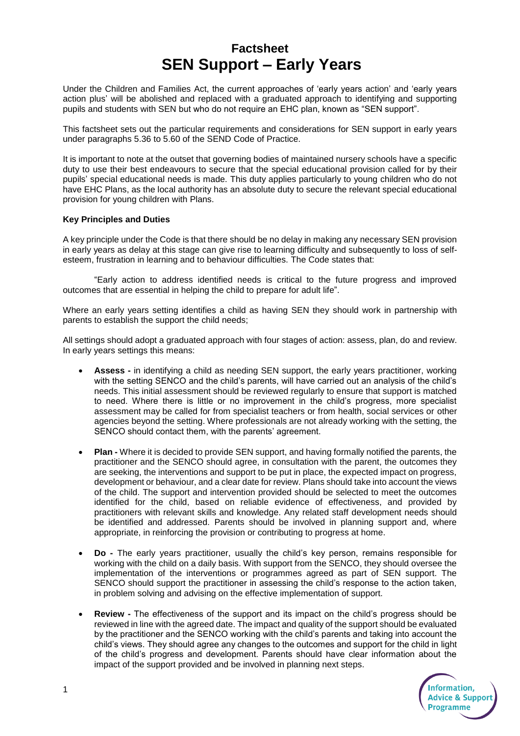## **Factsheet SEN Support – Early Years**

Under the Children and Families Act, the current approaches of 'early years action' and 'early years action plus' will be abolished and replaced with a graduated approach to identifying and supporting pupils and students with SEN but who do not require an EHC plan, known as "SEN support".

This factsheet sets out the particular requirements and considerations for SEN support in early years under paragraphs 5.36 to 5.60 of the SEND Code of Practice.

It is important to note at the outset that governing bodies of maintained nursery schools have a specific duty to use their best endeavours to secure that the special educational provision called for by their pupils' special educational needs is made. This duty applies particularly to young children who do not have EHC Plans, as the local authority has an absolute duty to secure the relevant special educational provision for young children with Plans.

## **Key Principles and Duties**

A key principle under the Code is that there should be no delay in making any necessary SEN provision in early years as delay at this stage can give rise to learning difficulty and subsequently to loss of selfesteem, frustration in learning and to behaviour difficulties. The Code states that:

"Early action to address identified needs is critical to the future progress and improved outcomes that are essential in helping the child to prepare for adult life".

Where an early years setting identifies a child as having SEN they should work in partnership with parents to establish the support the child needs;

All settings should adopt a graduated approach with four stages of action: assess, plan, do and review. In early years settings this means:

- **Assess -** in identifying a child as needing SEN support, the early years practitioner, working with the setting SENCO and the child's parents, will have carried out an analysis of the child's needs. This initial assessment should be reviewed regularly to ensure that support is matched to need. Where there is little or no improvement in the child's progress, more specialist assessment may be called for from specialist teachers or from health, social services or other agencies beyond the setting. Where professionals are not already working with the setting, the SENCO should contact them, with the parents' agreement.
- **Plan -** Where it is decided to provide SEN support, and having formally notified the parents, the practitioner and the SENCO should agree, in consultation with the parent, the outcomes they are seeking, the interventions and support to be put in place, the expected impact on progress, development or behaviour, and a clear date for review. Plans should take into account the views of the child. The support and intervention provided should be selected to meet the outcomes identified for the child, based on reliable evidence of effectiveness, and provided by practitioners with relevant skills and knowledge. Any related staff development needs should be identified and addressed. Parents should be involved in planning support and, where appropriate, in reinforcing the provision or contributing to progress at home.
- **Do -** The early years practitioner, usually the child's key person, remains responsible for working with the child on a daily basis. With support from the SENCO, they should oversee the implementation of the interventions or programmes agreed as part of SEN support. The SENCO should support the practitioner in assessing the child's response to the action taken, in problem solving and advising on the effective implementation of support.
- **Review -** The effectiveness of the support and its impact on the child's progress should be reviewed in line with the agreed date. The impact and quality of the support should be evaluated by the practitioner and the SENCO working with the child's parents and taking into account the child's views. They should agree any changes to the outcomes and support for the child in light of the child's progress and development. Parents should have clear information about the impact of the support provided and be involved in planning next steps.